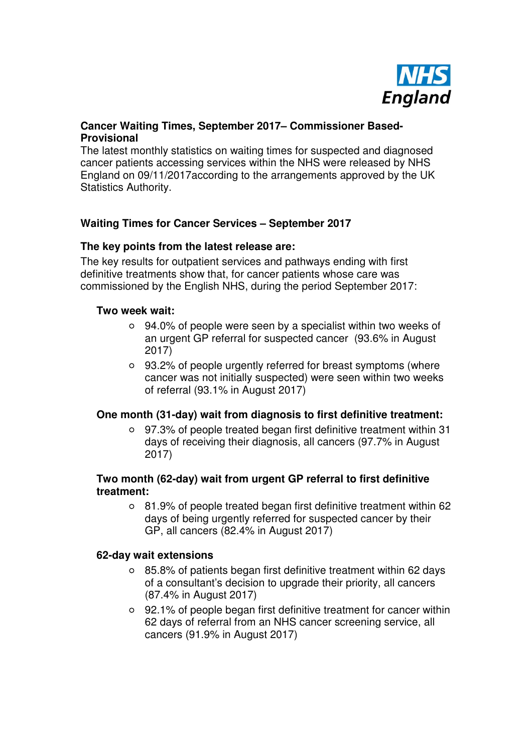

# **Cancer Waiting Times, September 2017– Commissioner Based-Provisional**

The latest monthly statistics on waiting times for suspected and diagnosed cancer patients accessing services within the NHS were released by NHS England on 09/11/2017according to the arrangements approved by the UK Statistics Authority.

# **Waiting Times for Cancer Services – September 2017**

### **The key points from the latest release are:**

The key results for outpatient services and pathways ending with first definitive treatments show that, for cancer patients whose care was commissioned by the English NHS, during the period September 2017:

#### **Two week wait:**

- 94.0% of people were seen by a specialist within two weeks of an urgent GP referral for suspected cancer (93.6% in August 2017)
- 93.2% of people urgently referred for breast symptoms (where cancer was not initially suspected) were seen within two weeks of referral (93.1% in August 2017)

### **One month (31-day) wait from diagnosis to first definitive treatment:**

97.3% of people treated began first definitive treatment within 31 days of receiving their diagnosis, all cancers (97.7% in August 2017)

### **Two month (62-day) wait from urgent GP referral to first definitive treatment:**

81.9% of people treated began first definitive treatment within 62 days of being urgently referred for suspected cancer by their GP, all cancers (82.4% in August 2017)

#### **62-day wait extensions**

- 85.8% of patients began first definitive treatment within 62 days of a consultant's decision to upgrade their priority, all cancers (87.4% in August 2017)
- 92.1% of people began first definitive treatment for cancer within 62 days of referral from an NHS cancer screening service, all cancers (91.9% in August 2017)